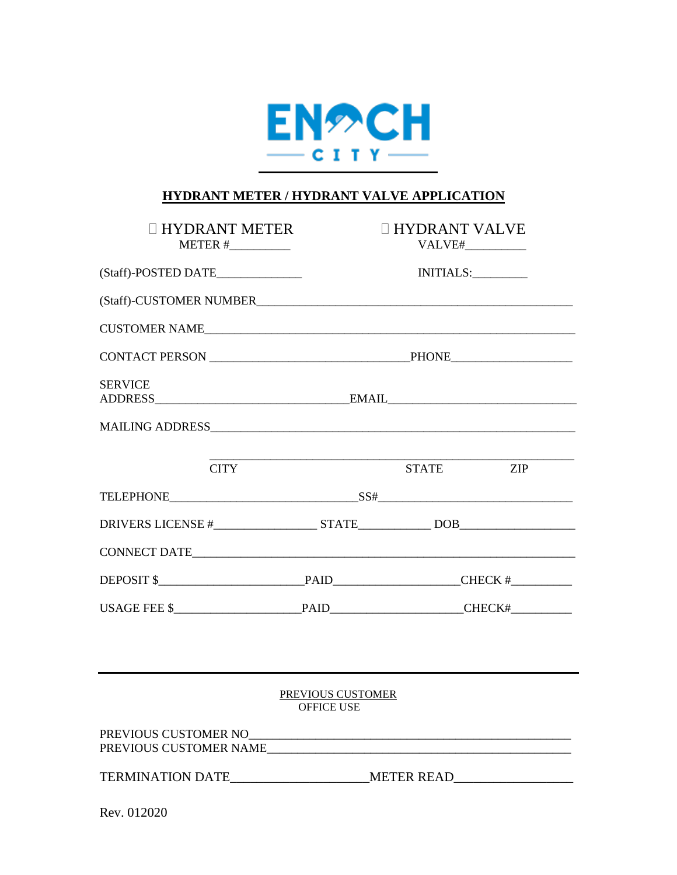

## **HYDRANT METER / HYDRANT VALVE APPLICATION**

| <b>HYDRANT METER</b>                             |  | <b>II HYDRANT VALVE</b><br>VALVE#___________                                     |  |
|--------------------------------------------------|--|----------------------------------------------------------------------------------|--|
| (Staff)-POSTED DATE_____________                 |  | INITIALS:                                                                        |  |
|                                                  |  |                                                                                  |  |
| CUSTOMER NAME                                    |  |                                                                                  |  |
|                                                  |  |                                                                                  |  |
| <b>SERVICE</b>                                   |  |                                                                                  |  |
|                                                  |  |                                                                                  |  |
| <b>CITY</b>                                      |  | <b>STATE</b><br>ZIP                                                              |  |
| TELEPHONE SS# SS# SS# CONTRACTED AND DESCRIPTION |  |                                                                                  |  |
|                                                  |  |                                                                                  |  |
|                                                  |  |                                                                                  |  |
|                                                  |  |                                                                                  |  |
|                                                  |  |                                                                                  |  |
|                                                  |  |                                                                                  |  |
| PREVIOUS CUSTOMER<br><b>OFFICE USE</b>           |  |                                                                                  |  |
| PREVIOUS CUSTOMER NAME                           |  |                                                                                  |  |
|                                                  |  | TERMINATION DATE________________________METER READ______________________________ |  |
| Rev. 012020                                      |  |                                                                                  |  |